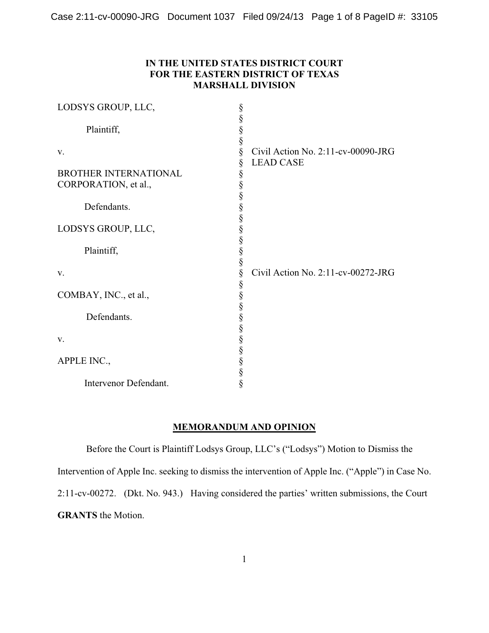# **IN THE UNITED STATES DISTRICT COURT FOR THE EASTERN DISTRICT OF TEXAS MARSHALL DIVISION**

| LODSYS GROUP, LLC,                                         | §<br>§                                                                                       |                                                        |
|------------------------------------------------------------|----------------------------------------------------------------------------------------------|--------------------------------------------------------|
| Plaintiff,                                                 | §<br>§                                                                                       |                                                        |
| V.<br><b>BROTHER INTERNATIONAL</b><br>CORPORATION, et al., | §<br>§<br>§<br>§                                                                             | Civil Action No. 2:11-cv-00090-JRG<br><b>LEAD CASE</b> |
| Defendants.                                                | §<br>§                                                                                       |                                                        |
| LODSYS GROUP, LLC,                                         | S<br>S<br>S<br>S<br>S<br>S<br>S                                                              |                                                        |
| Plaintiff,                                                 |                                                                                              |                                                        |
| V.                                                         | $\S$                                                                                         | Civil Action No. 2:11-cv-00272-JRG                     |
| COMBAY, INC., et al.,                                      |                                                                                              |                                                        |
| Defendants.                                                | S<br>S<br>S<br>S<br>S<br>S<br>S<br>S<br>S<br>S<br>S<br>S<br><br><br><br><br><br><br><br><br> |                                                        |
| V.                                                         |                                                                                              |                                                        |
| APPLE INC.,                                                | §<br>§<br>§                                                                                  |                                                        |
| Intervenor Defendant.                                      | §                                                                                            |                                                        |

# **MEMORANDUM AND OPINION**

Before the Court is Plaintiff Lodsys Group, LLC's ("Lodsys") Motion to Dismiss the Intervention of Apple Inc. seeking to dismiss the intervention of Apple Inc. ("Apple") in Case No. 2:11-cv-00272. (Dkt. No. 943.) Having considered the parties' written submissions, the Court **GRANTS** the Motion.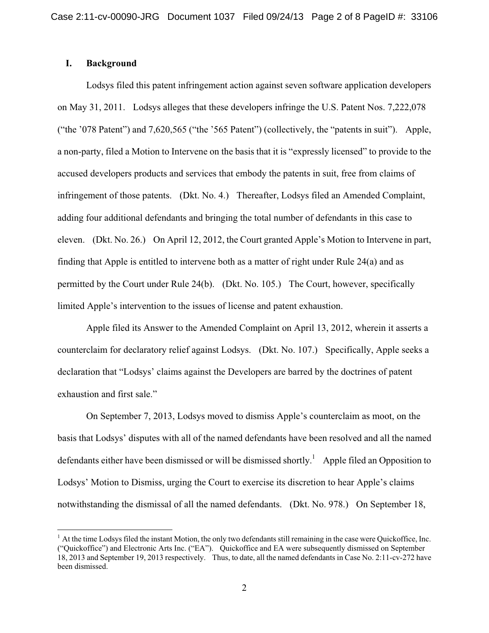## **I. Background**

Lodsys filed this patent infringement action against seven software application developers on May 31, 2011. Lodsys alleges that these developers infringe the U.S. Patent Nos. 7,222,078 ("the '078 Patent") and 7,620,565 ("the '565 Patent") (collectively, the "patents in suit"). Apple, a non-party, filed a Motion to Intervene on the basis that it is "expressly licensed" to provide to the accused developers products and services that embody the patents in suit, free from claims of infringement of those patents. (Dkt. No. 4.) Thereafter, Lodsys filed an Amended Complaint, adding four additional defendants and bringing the total number of defendants in this case to eleven. (Dkt. No. 26.) On April 12, 2012, the Court granted Apple's Motion to Intervene in part, finding that Apple is entitled to intervene both as a matter of right under Rule 24(a) and as permitted by the Court under Rule 24(b). (Dkt. No. 105.) The Court, however, specifically limited Apple's intervention to the issues of license and patent exhaustion.

Apple filed its Answer to the Amended Complaint on April 13, 2012, wherein it asserts a counterclaim for declaratory relief against Lodsys. (Dkt. No. 107.) Specifically, Apple seeks a declaration that "Lodsys' claims against the Developers are barred by the doctrines of patent exhaustion and first sale."

On September 7, 2013, Lodsys moved to dismiss Apple's counterclaim as moot, on the basis that Lodsys' disputes with all of the named defendants have been resolved and all the named defendants either have been dismissed or will be dismissed shortly.<sup>1</sup> Apple filed an Opposition to Lodsys' Motion to Dismiss, urging the Court to exercise its discretion to hear Apple's claims notwithstanding the dismissal of all the named defendants. (Dkt. No. 978.) On September 18,

 $<sup>1</sup>$  At the time Lodsys filed the instant Motion, the only two defendants still remaining in the case were Quickoffice, Inc.</sup> ("Quickoffice") and Electronic Arts Inc. ("EA"). Quickoffice and EA were subsequently dismissed on September 18, 2013 and September 19, 2013 respectively. Thus, to date, all the named defendants in Case No. 2:11-cv-272 have been dismissed.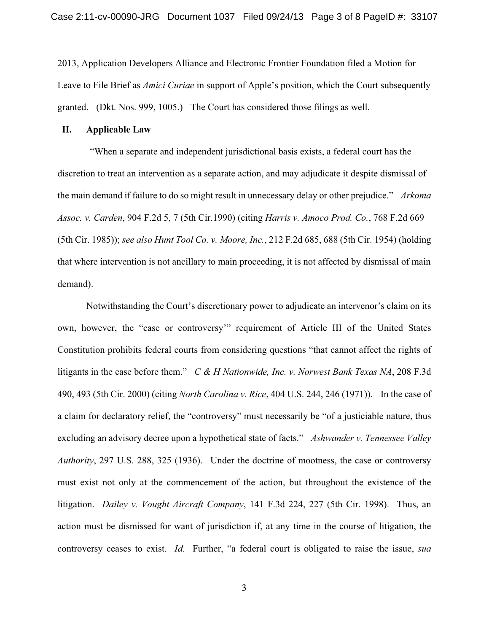2013, Application Developers Alliance and Electronic Frontier Foundation filed a Motion for Leave to File Brief as *Amici Curiae* in support of Apple's position, which the Court subsequently granted. (Dkt. Nos. 999, 1005.) The Court has considered those filings as well.

#### **II. Applicable Law**

 "When a separate and independent jurisdictional basis exists, a federal court has the discretion to treat an intervention as a separate action, and may adjudicate it despite dismissal of the main demand if failure to do so might result in unnecessary delay or other prejudice." *Arkoma Assoc. v. Carden*, 904 F.2d 5, 7 (5th Cir.1990) (citing *Harris v. Amoco Prod. Co.*, 768 F.2d 669 (5th Cir. 1985)); *see also Hunt Tool Co. v. Moore, Inc.*, 212 F.2d 685, 688 (5th Cir. 1954) (holding that where intervention is not ancillary to main proceeding, it is not affected by dismissal of main demand).

Notwithstanding the Court's discretionary power to adjudicate an intervenor's claim on its own, however, the "case or controversy'" requirement of Article III of the United States Constitution prohibits federal courts from considering questions "that cannot affect the rights of litigants in the case before them." *C & H Nationwide, Inc. v. Norwest Bank Texas NA*, 208 F.3d 490, 493 (5th Cir. 2000) (citing *North Carolina v. Rice*, 404 U.S. 244, 246 (1971)). In the case of a claim for declaratory relief, the "controversy" must necessarily be "of a justiciable nature, thus excluding an advisory decree upon a hypothetical state of facts." *Ashwander v. Tennessee Valley Authority*, 297 U.S. 288, 325 (1936). Under the doctrine of mootness, the case or controversy must exist not only at the commencement of the action, but throughout the existence of the litigation. *Dailey v. Vought Aircraft Company*, 141 F.3d 224, 227 (5th Cir. 1998). Thus, an action must be dismissed for want of jurisdiction if, at any time in the course of litigation, the controversy ceases to exist. *Id.* Further, "a federal court is obligated to raise the issue, *sua*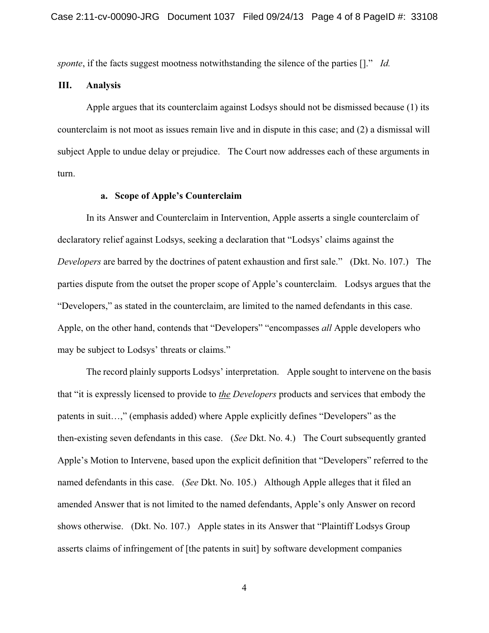*sponte*, if the facts suggest mootness notwithstanding the silence of the parties []." *Id.*

## **III. Analysis**

Apple argues that its counterclaim against Lodsys should not be dismissed because (1) its counterclaim is not moot as issues remain live and in dispute in this case; and (2) a dismissal will subject Apple to undue delay or prejudice. The Court now addresses each of these arguments in turn.

### **a. Scope of Apple's Counterclaim**

In its Answer and Counterclaim in Intervention, Apple asserts a single counterclaim of declaratory relief against Lodsys, seeking a declaration that "Lodsys' claims against the *Developers* are barred by the doctrines of patent exhaustion and first sale." (Dkt. No. 107.) The parties dispute from the outset the proper scope of Apple's counterclaim. Lodsys argues that the "Developers," as stated in the counterclaim, are limited to the named defendants in this case. Apple, on the other hand, contends that "Developers" "encompasses *all* Apple developers who may be subject to Lodsys' threats or claims."

The record plainly supports Lodsys' interpretation. Apple sought to intervene on the basis that "it is expressly licensed to provide to *the Developers* products and services that embody the patents in suit…," (emphasis added) where Apple explicitly defines "Developers" as the then-existing seven defendants in this case. (*See* Dkt. No. 4.) The Court subsequently granted Apple's Motion to Intervene, based upon the explicit definition that "Developers" referred to the named defendants in this case. (*See* Dkt. No. 105.) Although Apple alleges that it filed an amended Answer that is not limited to the named defendants, Apple's only Answer on record shows otherwise. (Dkt. No. 107.) Apple states in its Answer that "Plaintiff Lodsys Group asserts claims of infringement of [the patents in suit] by software development companies

4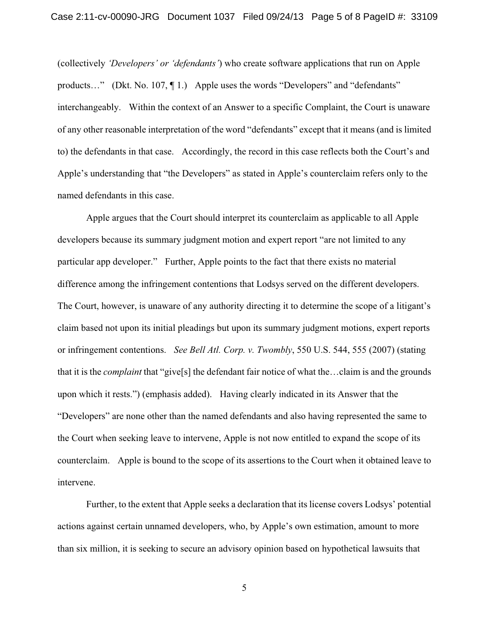(collectively *'Developers' or 'defendants'*) who create software applications that run on Apple products..." (Dkt. No. 107, ¶ 1.) Apple uses the words "Developers" and "defendants" interchangeably. Within the context of an Answer to a specific Complaint, the Court is unaware of any other reasonable interpretation of the word "defendants" except that it means (and is limited to) the defendants in that case. Accordingly, the record in this case reflects both the Court's and Apple's understanding that "the Developers" as stated in Apple's counterclaim refers only to the named defendants in this case.

Apple argues that the Court should interpret its counterclaim as applicable to all Apple developers because its summary judgment motion and expert report "are not limited to any particular app developer." Further, Apple points to the fact that there exists no material difference among the infringement contentions that Lodsys served on the different developers. The Court, however, is unaware of any authority directing it to determine the scope of a litigant's claim based not upon its initial pleadings but upon its summary judgment motions, expert reports or infringement contentions. *See Bell Atl. Corp. v. Twombly*, 550 U.S. 544, 555 (2007) (stating that it is the *complaint* that "give[s] the defendant fair notice of what the…claim is and the grounds upon which it rests.") (emphasis added). Having clearly indicated in its Answer that the "Developers" are none other than the named defendants and also having represented the same to the Court when seeking leave to intervene, Apple is not now entitled to expand the scope of its counterclaim. Apple is bound to the scope of its assertions to the Court when it obtained leave to intervene.

Further, to the extent that Apple seeks a declaration that its license covers Lodsys' potential actions against certain unnamed developers, who, by Apple's own estimation, amount to more than six million, it is seeking to secure an advisory opinion based on hypothetical lawsuits that

5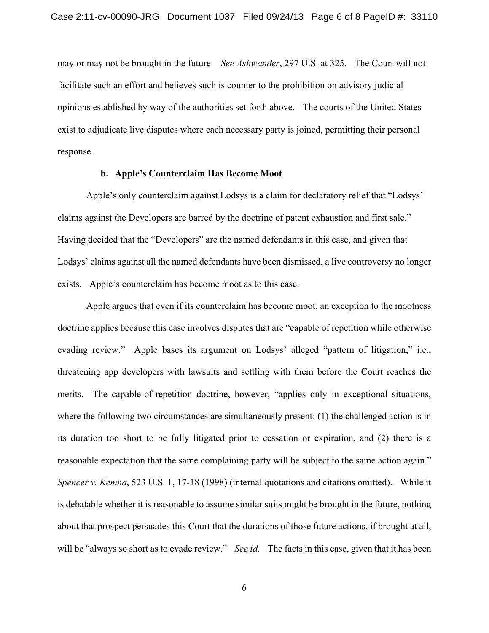may or may not be brought in the future. *See Ashwander*, 297 U.S. at 325. The Court will not facilitate such an effort and believes such is counter to the prohibition on advisory judicial opinions established by way of the authorities set forth above. The courts of the United States exist to adjudicate live disputes where each necessary party is joined, permitting their personal response.

#### **b. Apple's Counterclaim Has Become Moot**

Apple's only counterclaim against Lodsys is a claim for declaratory relief that "Lodsys' claims against the Developers are barred by the doctrine of patent exhaustion and first sale." Having decided that the "Developers" are the named defendants in this case, and given that Lodsys' claims against all the named defendants have been dismissed, a live controversy no longer exists. Apple's counterclaim has become moot as to this case.

Apple argues that even if its counterclaim has become moot, an exception to the mootness doctrine applies because this case involves disputes that are "capable of repetition while otherwise evading review." Apple bases its argument on Lodsys' alleged "pattern of litigation," i.e., threatening app developers with lawsuits and settling with them before the Court reaches the merits. The capable-of-repetition doctrine, however, "applies only in exceptional situations, where the following two circumstances are simultaneously present: (1) the challenged action is in its duration too short to be fully litigated prior to cessation or expiration, and (2) there is a reasonable expectation that the same complaining party will be subject to the same action again." *Spencer v. Kemna*, 523 U.S. 1, 17-18 (1998) (internal quotations and citations omitted). While it is debatable whether it is reasonable to assume similar suits might be brought in the future, nothing about that prospect persuades this Court that the durations of those future actions, if brought at all, will be "always so short as to evade review." *See id*. The facts in this case, given that it has been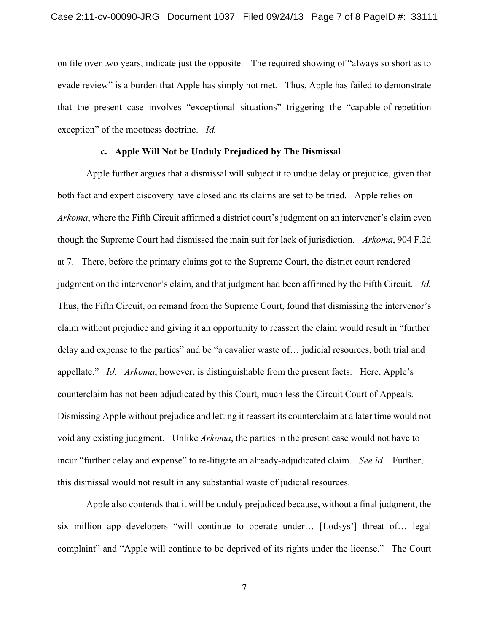on file over two years, indicate just the opposite. The required showing of "always so short as to evade review" is a burden that Apple has simply not met. Thus, Apple has failed to demonstrate that the present case involves "exceptional situations" triggering the "capable-of-repetition exception" of the mootness doctrine. *Id.*

## **c. Apple Will Not be Unduly Prejudiced by The Dismissal**

Apple further argues that a dismissal will subject it to undue delay or prejudice, given that both fact and expert discovery have closed and its claims are set to be tried. Apple relies on *Arkoma*, where the Fifth Circuit affirmed a district court's judgment on an intervener's claim even though the Supreme Court had dismissed the main suit for lack of jurisdiction. *Arkoma*, 904 F.2d at 7. There, before the primary claims got to the Supreme Court, the district court rendered judgment on the intervenor's claim, and that judgment had been affirmed by the Fifth Circuit. *Id.* Thus, the Fifth Circuit, on remand from the Supreme Court, found that dismissing the intervenor's claim without prejudice and giving it an opportunity to reassert the claim would result in "further delay and expense to the parties" and be "a cavalier waste of… judicial resources, both trial and appellate." *Id. Arkoma*, however, is distinguishable from the present facts. Here, Apple's counterclaim has not been adjudicated by this Court, much less the Circuit Court of Appeals. Dismissing Apple without prejudice and letting it reassert its counterclaim at a later time would not void any existing judgment. Unlike *Arkoma*, the parties in the present case would not have to incur "further delay and expense" to re-litigate an already-adjudicated claim. *See id.* Further, this dismissal would not result in any substantial waste of judicial resources.

Apple also contends that it will be unduly prejudiced because, without a final judgment, the six million app developers "will continue to operate under… [Lodsys'] threat of… legal complaint" and "Apple will continue to be deprived of its rights under the license." The Court

7